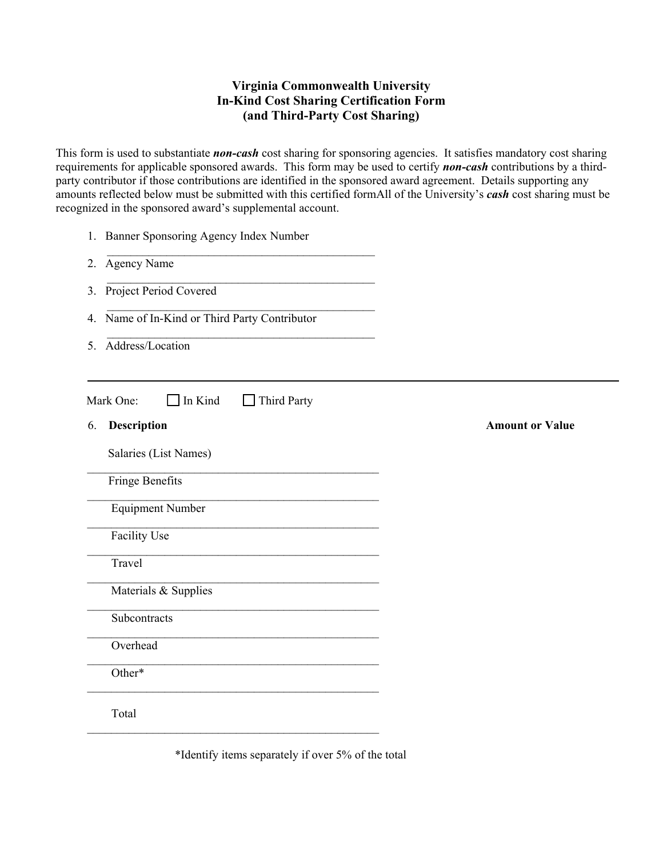## **Virginia Commonwealth University In-Kind Cost Sharing Certification Form (and Third-Party Cost Sharing)**

This form is used to substantiate *non-cash* cost sharing for sponsoring agencies. It satisfies mandatory cost sharing requirements for applicable sponsored awards. This form may be used to certify *non-cash* contributions by a thirdparty contributor if those contributions are identified in the sponsored award agreement. Details supporting any amounts reflected below must be submitted with this certified formAll of the University's *cash* cost sharing must be recognized in the sponsored award's supplemental account.

| Name of In-Kind or Third Party Contributor |
|--------------------------------------------|
|                                            |
|                                            |
| <b>Amount or Value</b>                     |
|                                            |
|                                            |
|                                            |
|                                            |
|                                            |
|                                            |
|                                            |
|                                            |
|                                            |
|                                            |
|                                            |

\*Identify items separately if over 5% of the total